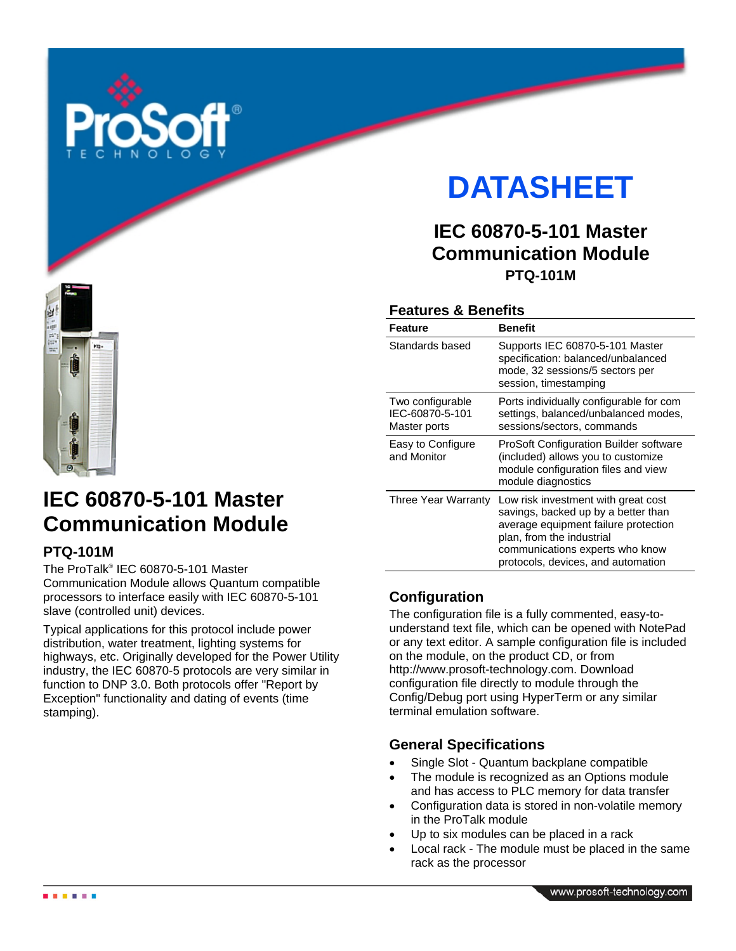

# **DATASHEET**

# **IEC 60870-5-101 Master Communication Module PTQ-101M**

# **Features & Benefits**

| <b>Feature</b>                                      | <b>Benefit</b>                                                                                                                                                                                                           |
|-----------------------------------------------------|--------------------------------------------------------------------------------------------------------------------------------------------------------------------------------------------------------------------------|
| Standards based                                     | Supports IEC 60870-5-101 Master<br>specification: balanced/unbalanced<br>mode, 32 sessions/5 sectors per<br>session, timestamping                                                                                        |
| Two configurable<br>IEC-60870-5-101<br>Master ports | Ports individually configurable for com<br>settings, balanced/unbalanced modes,<br>sessions/sectors, commands                                                                                                            |
| Easy to Configure<br>and Monitor                    | ProSoft Configuration Builder software<br>(included) allows you to customize<br>module configuration files and view<br>module diagnostics                                                                                |
| Three Year Warranty                                 | Low risk investment with great cost<br>savings, backed up by a better than<br>average equipment failure protection<br>plan, from the industrial<br>communications experts who know<br>protocols, devices, and automation |

# **Configuration**

The configuration file is a fully commented, easy-tounderstand text file, which can be opened with NotePad or any text editor. A sample configuration file is included on the module, on the product CD, or from http://www.prosoft-technology.com. Download configuration file directly to module through the Config/Debug port using HyperTerm or any similar terminal emulation software.

## **General Specifications**

- Single Slot Quantum backplane compatible
- The module is recognized as an Options module and has access to PLC memory for data transfer
- Configuration data is stored in non-volatile memory in the ProTalk module
- Up to six modules can be placed in a rack
- Local rack The module must be placed in the same rack as the processor



# **IEC 60870-5-101 Master Communication Module**

# **PTQ-101M**

The ProTalk® IEC 60870-5-101 Master Communication Module allows Quantum compatible processors to interface easily with IEC 60870-5-101 slave (controlled unit) devices.

Typical applications for this protocol include power distribution, water treatment, lighting systems for highways, etc. Originally developed for the Power Utility industry, the IEC 60870-5 protocols are very similar in function to DNP 3.0. Both protocols offer "Report by Exception" functionality and dating of events (time stamping).